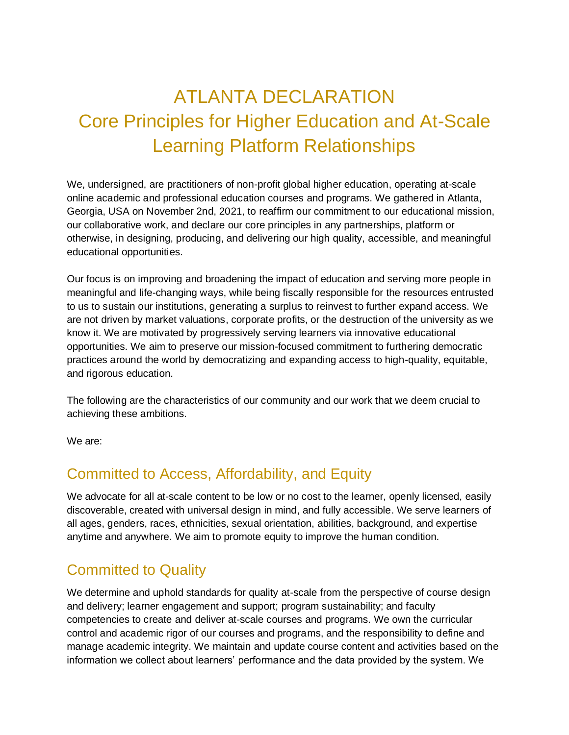# ATLANTA DECLARATION Core Principles for Higher Education and At-Scale Learning Platform Relationships

We, undersigned, are practitioners of non-profit global higher education, operating at-scale online academic and professional education courses and programs. We gathered in Atlanta, Georgia, USA on November 2nd, 2021, to reaffirm our commitment to our educational mission, our collaborative work, and declare our core principles in any partnerships, platform or otherwise, in designing, producing, and delivering our high quality, accessible, and meaningful educational opportunities.

Our focus is on improving and broadening the impact of education and serving more people in meaningful and life-changing ways, while being fiscally responsible for the resources entrusted to us to sustain our institutions, generating a surplus to reinvest to further expand access. We are not driven by market valuations, corporate profits, or the destruction of the university as we know it. We are motivated by progressively serving learners via innovative educational opportunities. We aim to preserve our mission-focused commitment to furthering democratic practices around the world by democratizing and expanding access to high-quality, equitable, and rigorous education.

The following are the characteristics of our community and our work that we deem crucial to achieving these ambitions.

We are:

## Committed to Access, Affordability, and Equity

We advocate for all at-scale content to be low or no cost to the learner, openly licensed, easily discoverable, created with universal design in mind, and fully accessible. We serve learners of all ages, genders, races, ethnicities, sexual orientation, abilities, background, and expertise anytime and anywhere. We aim to promote equity to improve the human condition.

## Committed to Quality

We determine and uphold standards for quality at-scale from the perspective of course design and delivery; learner engagement and support; program sustainability; and faculty competencies to create and deliver at-scale courses and programs. We own the curricular control and academic rigor of our courses and programs, and the responsibility to define and manage academic integrity. We maintain and update course content and activities based on the information we collect about learners' performance and the data provided by the system. We